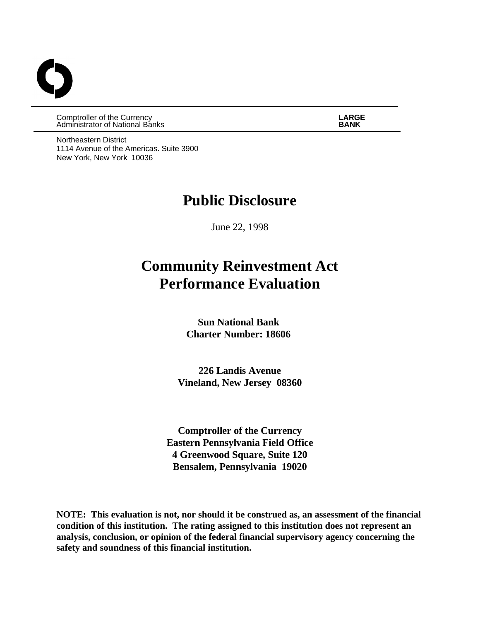Comptroller of the Currency **LARGE Administrator of National Banks** 

Northeastern District 1114 Avenue of the Americas. Suite 3900 New York, New York 10036

# **Public Disclosure**

June 22, 1998

# **Community Reinvestment Act Performance Evaluation**

**Sun National Bank Charter Number: 18606** 

**226 Landis Avenue Vineland, New Jersey 08360**

**Comptroller of the Currency Eastern Pennsylvania Field Office 4 Greenwood Square, Suite 120 Bensalem, Pennsylvania 19020**

**NOTE: This evaluation is not, nor should it be construed as, an assessment of the financial condition of this institution. The rating assigned to this institution does not represent an analysis, conclusion, or opinion of the federal financial supervisory agency concerning the safety and soundness of this financial institution.**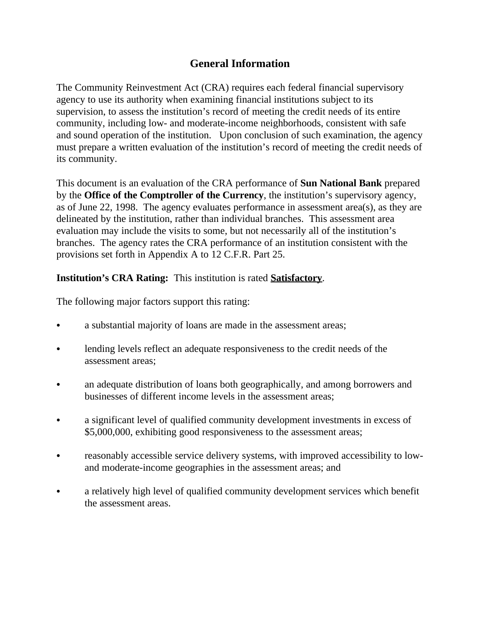# **General Information**

The Community Reinvestment Act (CRA) requires each federal financial supervisory agency to use its authority when examining financial institutions subject to its supervision, to assess the institution's record of meeting the credit needs of its entire community, including low- and moderate-income neighborhoods, consistent with safe and sound operation of the institution. Upon conclusion of such examination, the agency must prepare a written evaluation of the institution's record of meeting the credit needs of its community.

This document is an evaluation of the CRA performance of **Sun National Bank** prepared by the **Office of the Comptroller of the Currency**, the institution's supervisory agency, as of June 22, 1998. The agency evaluates performance in assessment area(s), as they are delineated by the institution, rather than individual branches. This assessment area evaluation may include the visits to some, but not necessarily all of the institution's branches. The agency rates the CRA performance of an institution consistent with the provisions set forth in Appendix A to 12 C.F.R. Part 25.

### **Institution's CRA Rating:** This institution is rated **Satisfactory**.

The following major factors support this rating:

- a substantial majority of loans are made in the assessment areas;
- lending levels reflect an adequate responsiveness to the credit needs of the assessment areas;
- an adequate distribution of loans both geographically, and among borrowers and businesses of different income levels in the assessment areas;
- a significant level of qualified community development investments in excess of \$5,000,000, exhibiting good responsiveness to the assessment areas;
- reasonably accessible service delivery systems, with improved accessibility to lowand moderate-income geographies in the assessment areas; and
- a relatively high level of qualified community development services which benefit the assessment areas.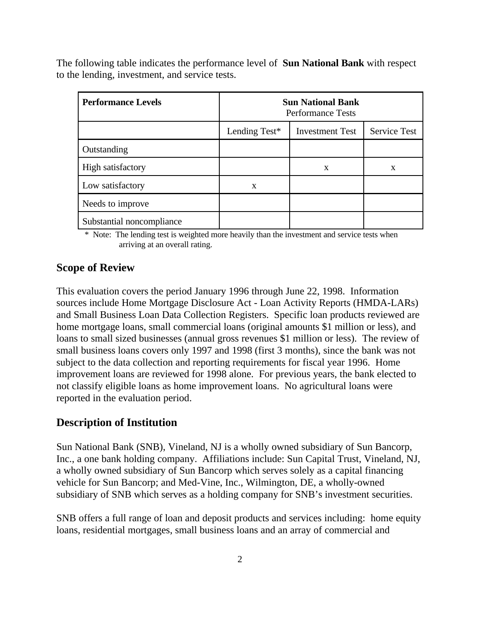The following table indicates the performance level of **Sun National Bank** with respect to the lending, investment, and service tests.

| <b>Performance Levels</b> | <b>Sun National Bank</b><br><b>Performance Tests</b> |                     |   |  |  |
|---------------------------|------------------------------------------------------|---------------------|---|--|--|
|                           | Lending Test*                                        | <b>Service Test</b> |   |  |  |
| Outstanding               |                                                      |                     |   |  |  |
| High satisfactory         |                                                      | X                   | X |  |  |
| Low satisfactory          | X                                                    |                     |   |  |  |
| Needs to improve          |                                                      |                     |   |  |  |
| Substantial noncompliance |                                                      |                     |   |  |  |

\* Note: The lending test is weighted more heavily than the investment and service tests when arriving at an overall rating.

#### **Scope of Review**

This evaluation covers the period January 1996 through June 22, 1998. Information sources include Home Mortgage Disclosure Act - Loan Activity Reports (HMDA-LARs) and Small Business Loan Data Collection Registers. Specific loan products reviewed are home mortgage loans, small commercial loans (original amounts \$1 million or less), and loans to small sized businesses (annual gross revenues \$1 million or less). The review of small business loans covers only 1997 and 1998 (first 3 months), since the bank was not subject to the data collection and reporting requirements for fiscal year 1996. Home improvement loans are reviewed for 1998 alone. For previous years, the bank elected to not classify eligible loans as home improvement loans. No agricultural loans were reported in the evaluation period.

#### **Description of Institution**

Sun National Bank (SNB), Vineland, NJ is a wholly owned subsidiary of Sun Bancorp, Inc., a one bank holding company. Affiliations include: Sun Capital Trust, Vineland, NJ, a wholly owned subsidiary of Sun Bancorp which serves solely as a capital financing vehicle for Sun Bancorp; and Med-Vine, Inc., Wilmington, DE, a wholly-owned subsidiary of SNB which serves as a holding company for SNB's investment securities.

SNB offers a full range of loan and deposit products and services including: home equity loans, residential mortgages, small business loans and an array of commercial and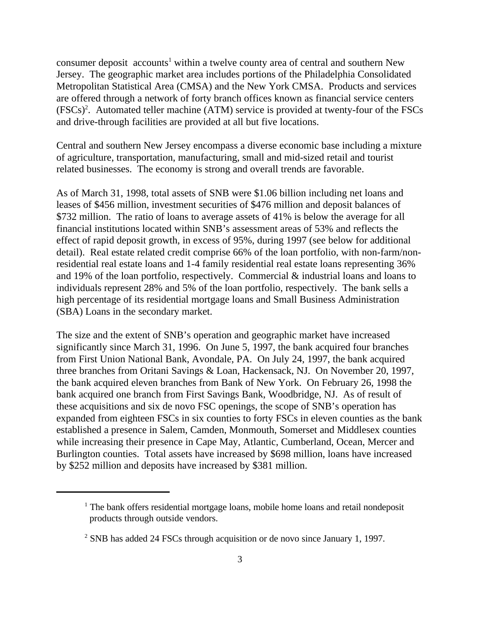consumer deposit accounts<sup>1</sup> within a twelve county area of central and southern New Jersey. The geographic market area includes portions of the Philadelphia Consolidated Metropolitan Statistical Area (CMSA) and the New York CMSA. Products and services are offered through a network of forty branch offices known as financial service centers  $(FSCs)<sup>2</sup>$ . Automated teller machine (ATM) service is provided at twenty-four of the FSCs and drive-through facilities are provided at all but five locations.

Central and southern New Jersey encompass a diverse economic base including a mixture of agriculture, transportation, manufacturing, small and mid-sized retail and tourist related businesses. The economy is strong and overall trends are favorable.

As of March 31, 1998, total assets of SNB were \$1.06 billion including net loans and leases of \$456 million, investment securities of \$476 million and deposit balances of \$732 million. The ratio of loans to average assets of 41% is below the average for all financial institutions located within SNB's assessment areas of 53% and reflects the effect of rapid deposit growth, in excess of 95%, during 1997 (see below for additional detail). Real estate related credit comprise 66% of the loan portfolio, with non-farm/nonresidential real estate loans and 1-4 family residential real estate loans representing 36% and 19% of the loan portfolio, respectively. Commercial & industrial loans and loans to individuals represent 28% and 5% of the loan portfolio, respectively. The bank sells a high percentage of its residential mortgage loans and Small Business Administration (SBA) Loans in the secondary market.

The size and the extent of SNB's operation and geographic market have increased significantly since March 31, 1996. On June 5, 1997, the bank acquired four branches from First Union National Bank, Avondale, PA. On July 24, 1997, the bank acquired three branches from Oritani Savings & Loan, Hackensack, NJ. On November 20, 1997, the bank acquired eleven branches from Bank of New York. On February 26, 1998 the bank acquired one branch from First Savings Bank, Woodbridge, NJ. As of result of these acquisitions and six de novo FSC openings, the scope of SNB's operation has expanded from eighteen FSCs in six counties to forty FSCs in eleven counties as the bank established a presence in Salem, Camden, Monmouth, Somerset and Middlesex counties while increasing their presence in Cape May, Atlantic, Cumberland, Ocean, Mercer and Burlington counties. Total assets have increased by \$698 million, loans have increased by \$252 million and deposits have increased by \$381 million.

 $1$  The bank offers residential mortgage loans, mobile home loans and retail nondeposit products through outside vendors.

 $\degree$  SNB has added 24 FSCs through acquisition or de novo since January 1, 1997.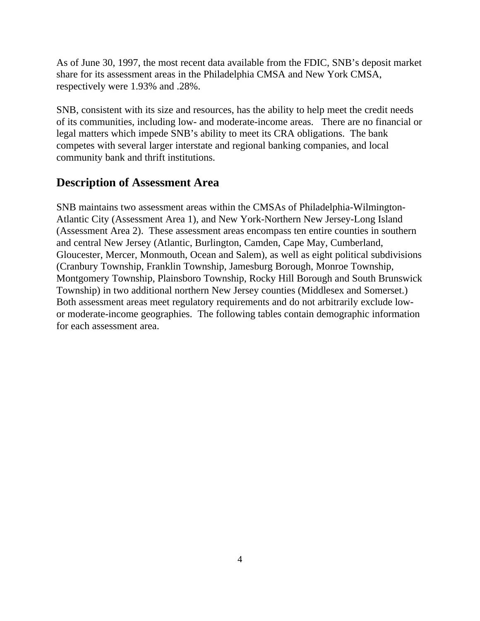As of June 30, 1997, the most recent data available from the FDIC, SNB's deposit market share for its assessment areas in the Philadelphia CMSA and New York CMSA, respectively were 1.93% and .28%.

SNB, consistent with its size and resources, has the ability to help meet the credit needs of its communities, including low- and moderate-income areas. There are no financial or legal matters which impede SNB's ability to meet its CRA obligations. The bank competes with several larger interstate and regional banking companies, and local community bank and thrift institutions.

## **Description of Assessment Area**

SNB maintains two assessment areas within the CMSAs of Philadelphia-Wilmington-Atlantic City (Assessment Area 1), and New York-Northern New Jersey-Long Island (Assessment Area 2). These assessment areas encompass ten entire counties in southern and central New Jersey (Atlantic, Burlington, Camden, Cape May, Cumberland, Gloucester, Mercer, Monmouth, Ocean and Salem), as well as eight political subdivisions (Cranbury Township, Franklin Township, Jamesburg Borough, Monroe Township, Montgomery Township, Plainsboro Township, Rocky Hill Borough and South Brunswick Township) in two additional northern New Jersey counties (Middlesex and Somerset.) Both assessment areas meet regulatory requirements and do not arbitrarily exclude lowor moderate-income geographies. The following tables contain demographic information for each assessment area.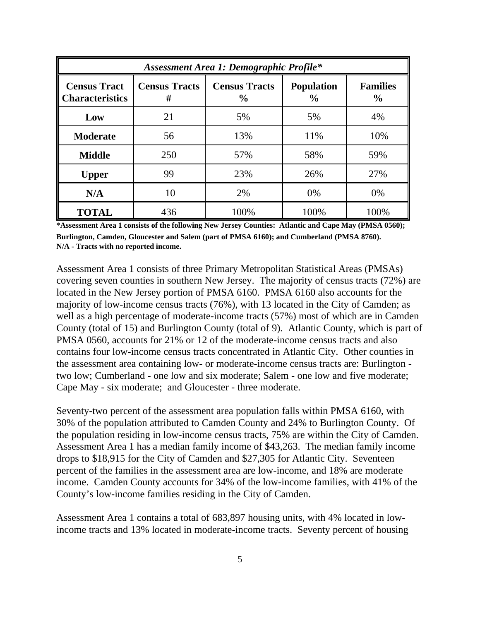| Assessment Area 1: Demographic Profile*       |                           |                                       |                                    |                                  |  |  |  |  |  |
|-----------------------------------------------|---------------------------|---------------------------------------|------------------------------------|----------------------------------|--|--|--|--|--|
| <b>Census Tract</b><br><b>Characteristics</b> | <b>Census Tracts</b><br># | <b>Census Tracts</b><br>$\frac{6}{9}$ | <b>Population</b><br>$\frac{6}{6}$ | <b>Families</b><br>$\frac{0}{0}$ |  |  |  |  |  |
| Low                                           | 21                        | 5%                                    | 5%                                 | 4%                               |  |  |  |  |  |
| <b>Moderate</b>                               | 56                        | 13%                                   | 11%                                | 10%                              |  |  |  |  |  |
| <b>Middle</b>                                 | 250                       | 57%                                   | 58%                                | 59%                              |  |  |  |  |  |
| <b>Upper</b>                                  | 99                        | 23%                                   | 26%                                | 27%                              |  |  |  |  |  |
| N/A                                           | 10                        | 2%                                    | 0%                                 | 0%                               |  |  |  |  |  |
| <b>TOTAL</b>                                  | 436                       | 100%                                  | 100%                               | 100%                             |  |  |  |  |  |

**\*Assessment Area 1 consists of the following New Jersey Counties: Atlantic and Cape May (PMSA 0560); Burlington, Camden, Gloucester and Salem (part of PMSA 6160); and Cumberland (PMSA 8760). N/A - Tracts with no reported income.**

Assessment Area 1 consists of three Primary Metropolitan Statistical Areas (PMSAs) covering seven counties in southern New Jersey. The majority of census tracts (72%) are located in the New Jersey portion of PMSA 6160. PMSA 6160 also accounts for the majority of low-income census tracts (76%), with 13 located in the City of Camden; as well as a high percentage of moderate-income tracts (57%) most of which are in Camden County (total of 15) and Burlington County (total of 9). Atlantic County, which is part of PMSA 0560, accounts for 21% or 12 of the moderate-income census tracts and also contains four low-income census tracts concentrated in Atlantic City. Other counties in the assessment area containing low- or moderate-income census tracts are: Burlington two low; Cumberland - one low and six moderate; Salem - one low and five moderate; Cape May - six moderate; and Gloucester - three moderate.

Seventy-two percent of the assessment area population falls within PMSA 6160, with 30% of the population attributed to Camden County and 24% to Burlington County. Of the population residing in low-income census tracts, 75% are within the City of Camden. Assessment Area 1 has a median family income of \$43,263. The median family income drops to \$18,915 for the City of Camden and \$27,305 for Atlantic City. Seventeen percent of the families in the assessment area are low-income, and 18% are moderate income. Camden County accounts for 34% of the low-income families, with 41% of the County's low-income families residing in the City of Camden.

Assessment Area 1 contains a total of 683,897 housing units, with 4% located in lowincome tracts and 13% located in moderate-income tracts. Seventy percent of housing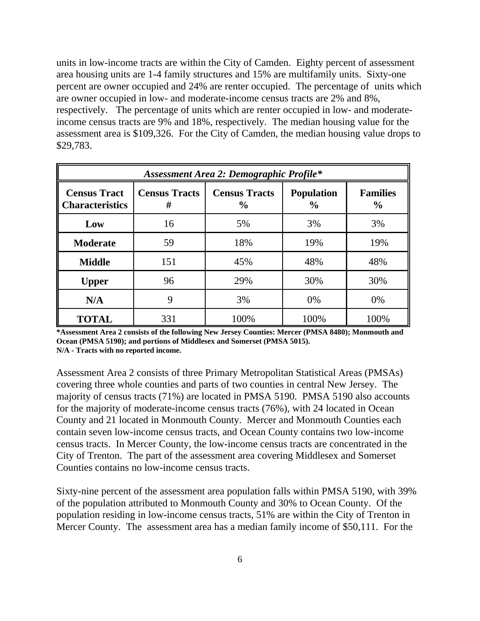units in low-income tracts are within the City of Camden. Eighty percent of assessment area housing units are 1-4 family structures and 15% are multifamily units. Sixty-one percent are owner occupied and 24% are renter occupied. The percentage of units which are owner occupied in low- and moderate-income census tracts are 2% and 8%, respectively. The percentage of units which are renter occupied in low- and moderateincome census tracts are 9% and 18%, respectively. The median housing value for the assessment area is \$109,326. For the City of Camden, the median housing value drops to \$29,783.

| <b>Assessment Area 2: Demographic Profile*</b> |                           |                                       |                                    |                                  |  |  |  |  |  |
|------------------------------------------------|---------------------------|---------------------------------------|------------------------------------|----------------------------------|--|--|--|--|--|
| <b>Census Tract</b><br><b>Characteristics</b>  | <b>Census Tracts</b><br># | <b>Census Tracts</b><br>$\frac{6}{9}$ | <b>Population</b><br>$\frac{0}{0}$ | <b>Families</b><br>$\frac{0}{0}$ |  |  |  |  |  |
| Low                                            | 16                        | 5%                                    | 3%                                 | 3%                               |  |  |  |  |  |
| <b>Moderate</b>                                | 59                        | 18%                                   | 19%                                | 19%                              |  |  |  |  |  |
| <b>Middle</b>                                  | 151                       | 45%                                   | 48%                                | 48%                              |  |  |  |  |  |
| <b>Upper</b>                                   | 96                        | 29%                                   | 30%                                | 30%                              |  |  |  |  |  |
| N/A                                            | 9                         | 3%                                    | 0%                                 | 0%                               |  |  |  |  |  |
| <b>TOTAL</b>                                   | 331                       | 100%                                  | 100%                               | 100%                             |  |  |  |  |  |

**<sup>\*</sup>Assessment Area 2 consists of the following New Jersey Counties: Mercer (PMSA 8480); Monmouth and Ocean (PMSA 5190); and portions of Middlesex and Somerset (PMSA 5015). N/A - Tracts with no reported income.**

Assessment Area 2 consists of three Primary Metropolitan Statistical Areas (PMSAs) covering three whole counties and parts of two counties in central New Jersey. The majority of census tracts (71%) are located in PMSA 5190. PMSA 5190 also accounts for the majority of moderate-income census tracts (76%), with 24 located in Ocean County and 21 located in Monmouth County. Mercer and Monmouth Counties each contain seven low-income census tracts, and Ocean County contains two low-income census tracts. In Mercer County, the low-income census tracts are concentrated in the City of Trenton. The part of the assessment area covering Middlesex and Somerset Counties contains no low-income census tracts.

Sixty-nine percent of the assessment area population falls within PMSA 5190, with 39% of the population attributed to Monmouth County and 30% to Ocean County. Of the population residing in low-income census tracts, 51% are within the City of Trenton in Mercer County. The assessment area has a median family income of \$50,111. For the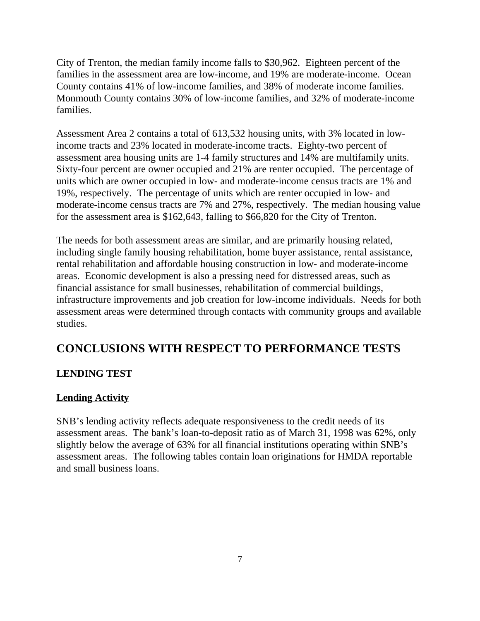City of Trenton, the median family income falls to \$30,962. Eighteen percent of the families in the assessment area are low-income, and 19% are moderate-income. Ocean County contains 41% of low-income families, and 38% of moderate income families. Monmouth County contains 30% of low-income families, and 32% of moderate-income families.

Assessment Area 2 contains a total of 613,532 housing units, with 3% located in lowincome tracts and 23% located in moderate-income tracts. Eighty-two percent of assessment area housing units are 1-4 family structures and 14% are multifamily units. Sixty-four percent are owner occupied and 21% are renter occupied. The percentage of units which are owner occupied in low- and moderate-income census tracts are 1% and 19%, respectively. The percentage of units which are renter occupied in low- and moderate-income census tracts are 7% and 27%, respectively. The median housing value for the assessment area is \$162,643, falling to \$66,820 for the City of Trenton.

The needs for both assessment areas are similar, and are primarily housing related, including single family housing rehabilitation, home buyer assistance, rental assistance, rental rehabilitation and affordable housing construction in low- and moderate-income areas. Economic development is also a pressing need for distressed areas, such as financial assistance for small businesses, rehabilitation of commercial buildings, infrastructure improvements and job creation for low-income individuals. Needs for both assessment areas were determined through contacts with community groups and available studies.

# **CONCLUSIONS WITH RESPECT TO PERFORMANCE TESTS**

### **LENDING TEST**

#### **Lending Activity**

SNB's lending activity reflects adequate responsiveness to the credit needs of its assessment areas. The bank's loan-to-deposit ratio as of March 31, 1998 was 62%, only slightly below the average of 63% for all financial institutions operating within SNB's assessment areas. The following tables contain loan originations for HMDA reportable and small business loans.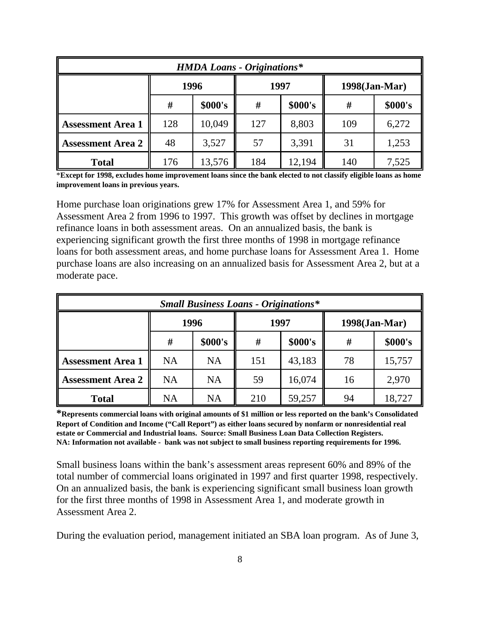| <b>HMDA Loans - Originations*</b> |                   |                               |     |        |     |         |  |  |
|-----------------------------------|-------------------|-------------------------------|-----|--------|-----|---------|--|--|
|                                   |                   | 1996<br>1997<br>1998(Jan-Mar) |     |        |     |         |  |  |
|                                   | \$000's<br>#<br># |                               |     |        | #   | \$000's |  |  |
| <b>Assessment Area 1</b>          | 128               | 10,049                        | 127 | 8,803  | 109 | 6,272   |  |  |
| <b>Assessment Area 2</b>          | 48                | 3,527                         | 57  | 3,391  | 31  | 1,253   |  |  |
| <b>Total</b>                      | 176               | 13,576                        | 184 | 12,194 | 140 | 7,525   |  |  |

\***Except for 1998, excludes home improvement loans since the bank elected to not classify eligible loans as home improvement loans in previous years.** 

Home purchase loan originations grew 17% for Assessment Area 1, and 59% for Assessment Area 2 from 1996 to 1997. This growth was offset by declines in mortgage refinance loans in both assessment areas. On an annualized basis, the bank is experiencing significant growth the first three months of 1998 in mortgage refinance loans for both assessment areas, and home purchase loans for Assessment Area 1. Home purchase loans are also increasing on an annualized basis for Assessment Area 2, but at a moderate pace.

| <b>Small Business Loans - Originations*</b> |                                   |           |      |        |                  |        |  |  |
|---------------------------------------------|-----------------------------------|-----------|------|--------|------------------|--------|--|--|
|                                             |                                   | 1996      | 1997 |        | $1998$ (Jan-Mar) |        |  |  |
|                                             | \$000's<br>\$000's<br>#<br>#<br># |           |      |        | \$000's          |        |  |  |
| <b>Assessment Area 1</b>                    | <b>NA</b>                         | <b>NA</b> | 151  | 43,183 | 78               | 15,757 |  |  |
| <b>Assessment Area 2</b>                    | <b>NA</b>                         | <b>NA</b> | 59   | 16,074 | 16               | 2,970  |  |  |
| <b>Total</b>                                | <b>NA</b>                         | <b>NA</b> | 210  | 59,257 | 94               | 18,727 |  |  |

**\*Represents commercial loans with original amounts of \$1 million or less reported on the bank's Consolidated Report of Condition and Income ("Call Report") as either loans secured by nonfarm or nonresidential real estate or Commercial and Industrial loans. Source: Small Business Loan Data Collection Registers. NA: Information not available - bank was not subject to small business reporting requirements for 1996.**

Small business loans within the bank's assessment areas represent 60% and 89% of the total number of commercial loans originated in 1997 and first quarter 1998, respectively. On an annualized basis, the bank is experiencing significant small business loan growth for the first three months of 1998 in Assessment Area 1, and moderate growth in Assessment Area 2.

During the evaluation period, management initiated an SBA loan program. As of June 3,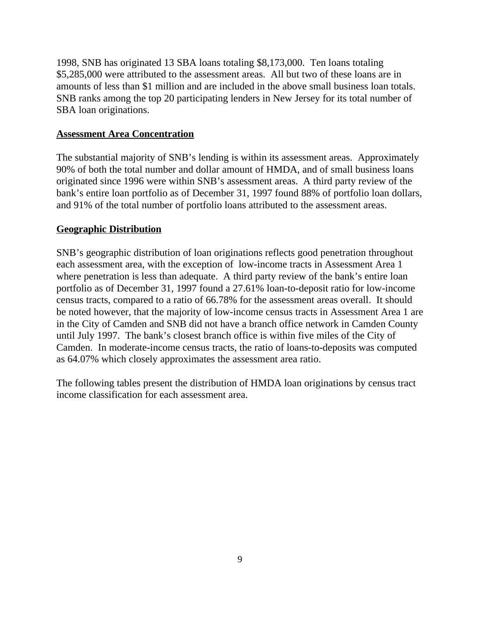1998, SNB has originated 13 SBA loans totaling \$8,173,000. Ten loans totaling \$5,285,000 were attributed to the assessment areas. All but two of these loans are in amounts of less than \$1 million and are included in the above small business loan totals. SNB ranks among the top 20 participating lenders in New Jersey for its total number of SBA loan originations.

#### **Assessment Area Concentration**

The substantial majority of SNB's lending is within its assessment areas. Approximately 90% of both the total number and dollar amount of HMDA, and of small business loans originated since 1996 were within SNB's assessment areas. A third party review of the bank's entire loan portfolio as of December 31, 1997 found 88% of portfolio loan dollars, and 91% of the total number of portfolio loans attributed to the assessment areas.

#### **Geographic Distribution**

SNB's geographic distribution of loan originations reflects good penetration throughout each assessment area, with the exception of low-income tracts in Assessment Area 1 where penetration is less than adequate. A third party review of the bank's entire loan portfolio as of December 31, 1997 found a 27.61% loan-to-deposit ratio for low-income census tracts, compared to a ratio of 66.78% for the assessment areas overall. It should be noted however, that the majority of low-income census tracts in Assessment Area 1 are in the City of Camden and SNB did not have a branch office network in Camden County until July 1997. The bank's closest branch office is within five miles of the City of Camden. In moderate-income census tracts, the ratio of loans-to-deposits was computed as 64.07% which closely approximates the assessment area ratio.

The following tables present the distribution of HMDA loan originations by census tract income classification for each assessment area.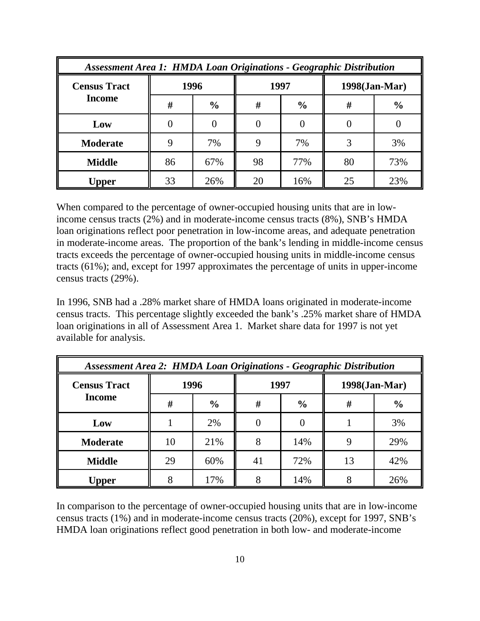| <b>Assessment Area 1: HMDA Loan Originations - Geographic Distribution</b> |      |               |      |               |    |               |  |
|----------------------------------------------------------------------------|------|---------------|------|---------------|----|---------------|--|
| <b>Census Tract</b>                                                        | 1996 |               | 1997 |               |    | 1998(Jan-Mar) |  |
| <b>Income</b>                                                              | #    | $\frac{6}{6}$ | #    | $\frac{0}{0}$ | #  | $\frac{0}{0}$ |  |
| Low                                                                        |      |               |      |               |    |               |  |
| <b>Moderate</b>                                                            |      | 7%            |      | 7%            |    | 3%            |  |
| <b>Middle</b>                                                              | 86   | 67%           | 98   | 77%           | 80 | 73%           |  |
| <b>Upper</b>                                                               | 33   | 26%           | 20   | 16%           | 25 | 23%           |  |

When compared to the percentage of owner-occupied housing units that are in lowincome census tracts (2%) and in moderate-income census tracts (8%), SNB's HMDA loan originations reflect poor penetration in low-income areas, and adequate penetration in moderate-income areas. The proportion of the bank's lending in middle-income census tracts exceeds the percentage of owner-occupied housing units in middle-income census tracts (61%); and, except for 1997 approximates the percentage of units in upper-income census tracts (29%).

In 1996, SNB had a .28% market share of HMDA loans originated in moderate-income census tracts. This percentage slightly exceeded the bank's .25% market share of HMDA loan originations in all of Assessment Area 1. Market share data for 1997 is not yet available for analysis.

| <b>Assessment Area 2: HMDA Loan Originations - Geographic Distribution</b> |      |               |      |               |               |               |  |
|----------------------------------------------------------------------------|------|---------------|------|---------------|---------------|---------------|--|
| <b>Census Tract</b><br><b>Income</b>                                       | 1996 |               | 1997 |               | 1998(Jan-Mar) |               |  |
|                                                                            | #    | $\frac{6}{6}$ | #    | $\frac{6}{6}$ | #             | $\frac{6}{6}$ |  |
| Low                                                                        |      | 2%            |      |               |               | 3%            |  |
| <b>Moderate</b>                                                            | 10   | 21%           | 8    | 14%           |               | 29%           |  |
| <b>Middle</b>                                                              | 29   | 60%           | 41   | 72%           | 13            | 42%           |  |
| Upper                                                                      |      | 17%           |      | 14%           |               | 26%           |  |

In comparison to the percentage of owner-occupied housing units that are in low-income census tracts (1%) and in moderate-income census tracts (20%), except for 1997, SNB's HMDA loan originations reflect good penetration in both low- and moderate-income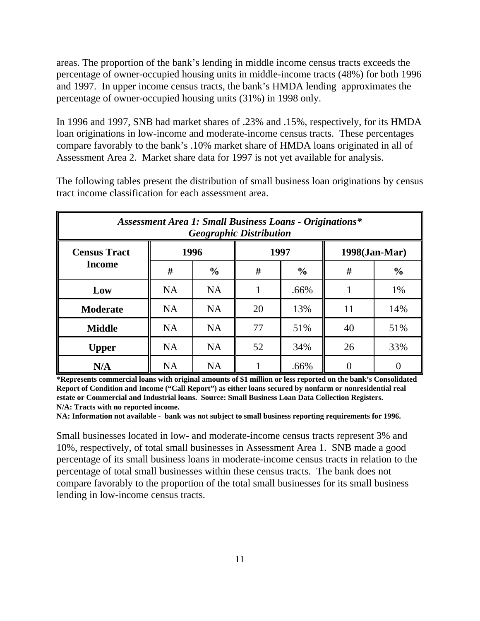areas. The proportion of the bank's lending in middle income census tracts exceeds the percentage of owner-occupied housing units in middle-income tracts (48%) for both 1996 and 1997. In upper income census tracts, the bank's HMDA lending approximates the percentage of owner-occupied housing units (31%) in 1998 only.

In 1996 and 1997, SNB had market shares of .23% and .15%, respectively, for its HMDA loan originations in low-income and moderate-income census tracts. These percentages compare favorably to the bank's .10% market share of HMDA loans originated in all of Assessment Area 2. Market share data for 1997 is not yet available for analysis.

The following tables present the distribution of small business loan originations by census tract income classification for each assessment area.

| <b>Assessment Area 1: Small Business Loans - Originations*</b><br><b>Geographic Distribution</b> |           |               |      |               |    |               |  |
|--------------------------------------------------------------------------------------------------|-----------|---------------|------|---------------|----|---------------|--|
| <b>Census Tract</b>                                                                              |           | 1996          | 1997 |               |    | 1998(Jan-Mar) |  |
| <b>Income</b>                                                                                    | #         | $\frac{0}{0}$ | #    | $\frac{0}{0}$ | #  | $\frac{0}{0}$ |  |
| Low                                                                                              | <b>NA</b> | <b>NA</b>     |      | .66%          |    | 1%            |  |
| <b>Moderate</b>                                                                                  | <b>NA</b> | <b>NA</b>     | 20   | 13%           | 11 | 14%           |  |
| <b>Middle</b>                                                                                    | <b>NA</b> | <b>NA</b>     | 77   | 51%           | 40 | 51%           |  |
| <b>Upper</b>                                                                                     | <b>NA</b> | <b>NA</b>     | 52   | 34%           | 26 | 33%           |  |
| N/A                                                                                              | <b>NA</b> | <b>NA</b>     |      | .66%          |    |               |  |

**\*Represents commercial loans with original amounts of \$1 million or less reported on the bank's Consolidated Report of Condition and Income ("Call Report") as either loans secured by nonfarm or nonresidential real estate or Commercial and Industrial loans. Source: Small Business Loan Data Collection Registers. N/A: Tracts with no reported income.** 

**NA: Information not available - bank was not subject to small business reporting requirements for 1996.**

Small businesses located in low- and moderate-income census tracts represent 3% and 10%, respectively, of total small businesses in Assessment Area 1. SNB made a good percentage of its small business loans in moderate-income census tracts in relation to the percentage of total small businesses within these census tracts. The bank does not compare favorably to the proportion of the total small businesses for its small business lending in low-income census tracts.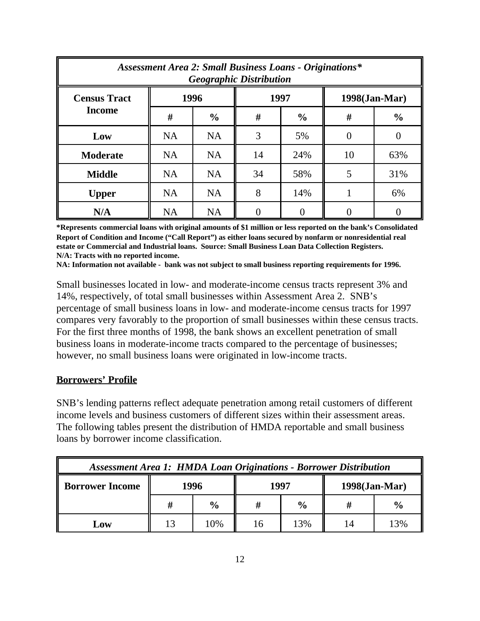| <b>Assessment Area 2: Small Business Loans - Originations*</b><br><b>Geographic Distribution</b> |           |               |      |               |               |               |  |
|--------------------------------------------------------------------------------------------------|-----------|---------------|------|---------------|---------------|---------------|--|
| <b>Census Tract</b>                                                                              |           | 1996          | 1997 |               | 1998(Jan-Mar) |               |  |
| <b>Income</b>                                                                                    | #         | $\frac{0}{0}$ | #    | $\frac{6}{9}$ | #             | $\frac{0}{0}$ |  |
| Low                                                                                              | <b>NA</b> | <b>NA</b>     | 3    | 5%            |               |               |  |
| <b>Moderate</b>                                                                                  | <b>NA</b> | <b>NA</b>     | 14   | 24%           | 10            | 63%           |  |
| <b>Middle</b>                                                                                    | <b>NA</b> | <b>NA</b>     | 34   | 58%           | 5             | 31%           |  |
| <b>Upper</b>                                                                                     | <b>NA</b> | <b>NA</b>     | 8    | 14%           |               | 6%            |  |
| N/A                                                                                              | <b>NA</b> | <b>NA</b>     |      |               |               |               |  |

**\*Represents commercial loans with original amounts of \$1 million or less reported on the bank's Consolidated Report of Condition and Income ("Call Report") as either loans secured by nonfarm or nonresidential real estate or Commercial and Industrial loans. Source: Small Business Loan Data Collection Registers. N/A: Tracts with no reported income.**

**NA: Information not available - bank was not subject to small business reporting requirements for 1996.**

Small businesses located in low- and moderate-income census tracts represent 3% and 14%, respectively, of total small businesses within Assessment Area 2. SNB's percentage of small business loans in low- and moderate-income census tracts for 1997 compares very favorably to the proportion of small businesses within these census tracts. For the first three months of 1998, the bank shows an excellent penetration of small business loans in moderate-income tracts compared to the percentage of businesses; however, no small business loans were originated in low-income tracts.

#### **Borrowers' Profile**

SNB's lending patterns reflect adequate penetration among retail customers of different income levels and business customers of different sizes within their assessment areas. The following tables present the distribution of HMDA reportable and small business loans by borrower income classification.

| <b>Assessment Area 1: HMDA Loan Originations - Borrower Distribution</b> |                                  |                                                 |  |     |  |     |  |  |
|--------------------------------------------------------------------------|----------------------------------|-------------------------------------------------|--|-----|--|-----|--|--|
| <b>Borrower Income</b>                                                   | 1996<br>1997<br>$1998$ (Jan-Mar) |                                                 |  |     |  |     |  |  |
|                                                                          |                                  | $\frac{6}{9}$<br>$\frac{0}{0}$<br>$\frac{6}{6}$ |  |     |  |     |  |  |
| Low                                                                      |                                  | 10%                                             |  | 13% |  | 13% |  |  |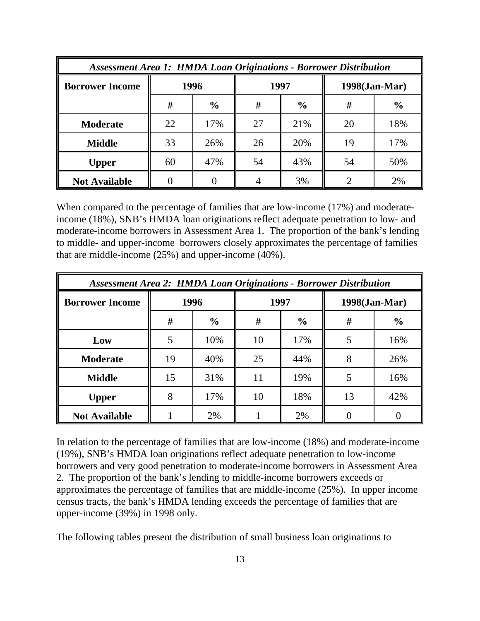| <b>Assessment Area 1: HMDA Loan Originations - Borrower Distribution</b> |    |               |      |               |               |               |  |
|--------------------------------------------------------------------------|----|---------------|------|---------------|---------------|---------------|--|
| <b>Borrower Income</b>                                                   |    | 1996          | 1997 |               | 1998(Jan-Mar) |               |  |
|                                                                          | #  | $\frac{0}{0}$ | #    | $\frac{0}{0}$ | #             | $\frac{0}{0}$ |  |
| <b>Moderate</b>                                                          | 22 | 17%           | 27   | 21%           | 20            | 18%           |  |
| <b>Middle</b>                                                            | 33 | 26%           | 26   | 20%           | 19            | 17%           |  |
| <b>Upper</b>                                                             | 60 | 47%           | 54   | 43%           | 54            | 50%           |  |
| <b>Not Available</b>                                                     |    |               |      | 3%            |               | 2%            |  |

When compared to the percentage of families that are low-income (17%) and moderateincome (18%), SNB's HMDA loan originations reflect adequate penetration to low- and moderate-income borrowers in Assessment Area 1. The proportion of the bank's lending to middle- and upper-income borrowers closely approximates the percentage of families that are middle-income (25%) and upper-income (40%).

| <b>Assessment Area 2: HMDA Loan Originations - Borrower Distribution</b> |    |               |    |               |    |               |  |
|--------------------------------------------------------------------------|----|---------------|----|---------------|----|---------------|--|
| <b>Borrower Income</b>                                                   |    | 1996          |    | 1997          |    | 1998(Jan-Mar) |  |
|                                                                          | #  | $\frac{6}{6}$ | #  | $\frac{0}{0}$ | #  | $\frac{0}{0}$ |  |
| Low                                                                      |    | 10%           | 10 | 17%           |    | 16%           |  |
| <b>Moderate</b>                                                          | 19 | 40%           | 25 | 44%           | 8  | 26%           |  |
| <b>Middle</b>                                                            | 15 | 31%           | 11 | 19%           | 5  | 16%           |  |
| <b>Upper</b>                                                             | 8  | 17%           | 10 | 18%           | 13 | 42%           |  |
| <b>Not Available</b>                                                     |    | 2%            |    | 2%            |    |               |  |

In relation to the percentage of families that are low-income (18%) and moderate-income (19%), SNB's HMDA loan originations reflect adequate penetration to low-income borrowers and very good penetration to moderate-income borrowers in Assessment Area 2. The proportion of the bank's lending to middle-income borrowers exceeds or approximates the percentage of families that are middle-income (25%). In upper income census tracts, the bank's HMDA lending exceeds the percentage of families that are upper-income (39%) in 1998 only.

The following tables present the distribution of small business loan originations to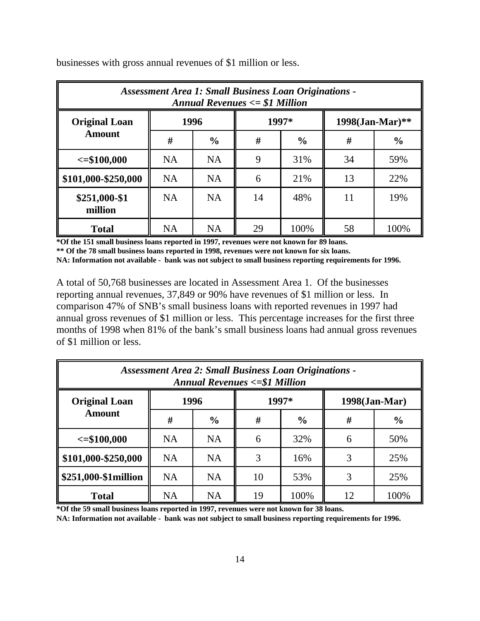| <b>Assessment Area 1: Small Business Loan Originations -</b><br>Annual Revenues $\le$ \$1 Million |           |               |       |               |                    |               |
|---------------------------------------------------------------------------------------------------|-----------|---------------|-------|---------------|--------------------|---------------|
| <b>Original Loan</b><br><b>Amount</b>                                                             | 1996      |               | 1997* |               | $1998$ (Jan-Mar)** |               |
|                                                                                                   | #         | $\frac{0}{0}$ | #     | $\frac{0}{0}$ | #                  | $\frac{0}{0}$ |
| $\le$ =\$100,000                                                                                  | <b>NA</b> | <b>NA</b>     | 9     | 31%           | 34                 | 59%           |
| \$101,000-\$250,000                                                                               | <b>NA</b> | NA            | 6     | 21%           | 13                 | 22%           |
| \$251,000-\$1<br>million                                                                          | <b>NA</b> | <b>NA</b>     | 14    | 48%           | 11                 | 19%           |
| <b>Total</b>                                                                                      | <b>NA</b> | <b>NA</b>     | 29    | 100%          | 58                 | 100%          |

businesses with gross annual revenues of \$1 million or less.

**\*Of the 151 small business loans reported in 1997, revenues were not known for 89 loans. \*\* Of the 78 small business loans reported in 1998, revenues were not known for six loans. NA: Information not available - bank was not subject to small business reporting requirements for 1996.**

A total of 50,768 businesses are located in Assessment Area 1. Of the businesses reporting annual revenues, 37,849 or 90% have revenues of \$1 million or less. In comparison 47% of SNB's small business loans with reported revenues in 1997 had annual gross revenues of \$1 million or less. This percentage increases for the first three months of 1998 when 81% of the bank's small business loans had annual gross revenues of \$1 million or less.

| <b>Assessment Area 2: Small Business Loan Originations -</b><br><b>Annual Revenues &lt;= \$1 Million</b> |           |               |       |               |                  |               |
|----------------------------------------------------------------------------------------------------------|-----------|---------------|-------|---------------|------------------|---------------|
| <b>Original Loan</b><br><b>Amount</b>                                                                    | 1996      |               | 1997* |               | $1998$ (Jan-Mar) |               |
|                                                                                                          | #         | $\frac{0}{0}$ | #     | $\frac{6}{6}$ | #                | $\frac{0}{0}$ |
| $\le$ =\$100,000                                                                                         | <b>NA</b> | <b>NA</b>     | 6     | 32%           | 6                | 50%           |
| $\parallel$ \$101,000-\$250,000                                                                          | <b>NA</b> | <b>NA</b>     | 3     | 16%           |                  | 25%           |
| $\frac{1}{2}$ \$251,000-\$1million                                                                       | <b>NA</b> | <b>NA</b>     | 10    | 53%           |                  | 25%           |
| <b>Total</b>                                                                                             | <b>NA</b> | <b>NA</b>     | 19    | 100%          | 12               | 100%          |

**\*Of the 59 small business loans reported in 1997, revenues were not known for 38 loans.**

**NA: Information not available - bank was not subject to small business reporting requirements for 1996.**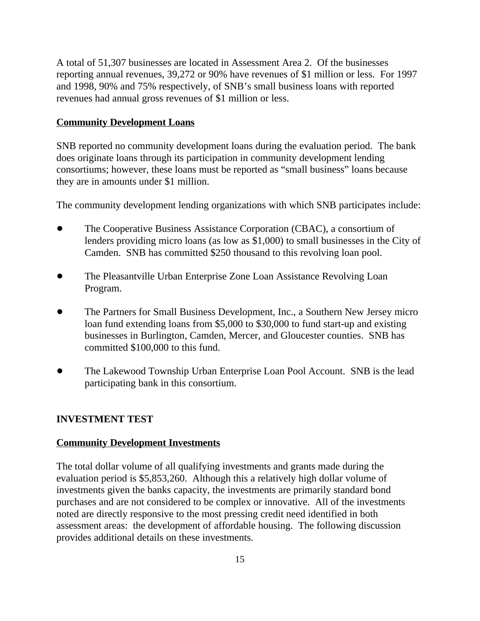A total of 51,307 businesses are located in Assessment Area 2. Of the businesses reporting annual revenues, 39,272 or 90% have revenues of \$1 million or less. For 1997 and 1998, 90% and 75% respectively, of SNB's small business loans with reported revenues had annual gross revenues of \$1 million or less.

#### **Community Development Loans**

SNB reported no community development loans during the evaluation period. The bank does originate loans through its participation in community development lending consortiums; however, these loans must be reported as "small business" loans because they are in amounts under \$1 million.

The community development lending organizations with which SNB participates include:

- ! The Cooperative Business Assistance Corporation (CBAC), a consortium of lenders providing micro loans (as low as \$1,000) to small businesses in the City of Camden. SNB has committed \$250 thousand to this revolving loan pool.
- ! The Pleasantville Urban Enterprise Zone Loan Assistance Revolving Loan Program.
- ! The Partners for Small Business Development, Inc., a Southern New Jersey micro loan fund extending loans from \$5,000 to \$30,000 to fund start-up and existing businesses in Burlington, Camden, Mercer, and Gloucester counties. SNB has committed \$100,000 to this fund.
- The Lakewood Township Urban Enterprise Loan Pool Account. SNB is the lead participating bank in this consortium.

#### **INVESTMENT TEST**

#### **Community Development Investments**

The total dollar volume of all qualifying investments and grants made during the evaluation period is \$5,853,260. Although this a relatively high dollar volume of investments given the banks capacity, the investments are primarily standard bond purchases and are not considered to be complex or innovative. All of the investments noted are directly responsive to the most pressing credit need identified in both assessment areas: the development of affordable housing. The following discussion provides additional details on these investments.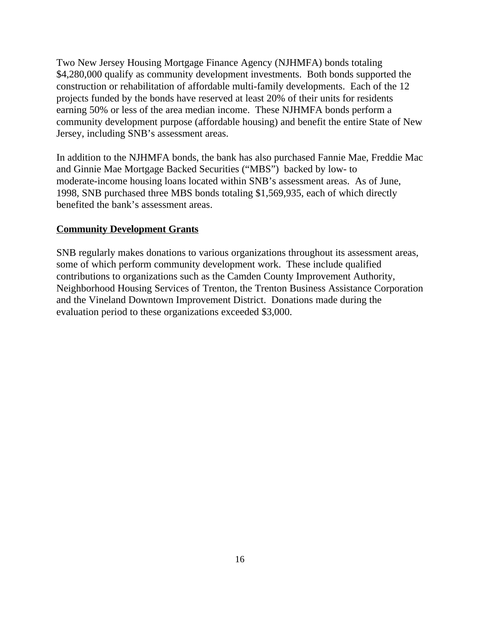Two New Jersey Housing Mortgage Finance Agency (NJHMFA) bonds totaling \$4,280,000 qualify as community development investments. Both bonds supported the construction or rehabilitation of affordable multi-family developments. Each of the 12 projects funded by the bonds have reserved at least 20% of their units for residents earning 50% or less of the area median income. These NJHMFA bonds perform a community development purpose (affordable housing) and benefit the entire State of New Jersey, including SNB's assessment areas.

In addition to the NJHMFA bonds, the bank has also purchased Fannie Mae, Freddie Mac and Ginnie Mae Mortgage Backed Securities ("MBS") backed by low- to moderate-income housing loans located within SNB's assessment areas. As of June, 1998, SNB purchased three MBS bonds totaling \$1,569,935, each of which directly benefited the bank's assessment areas.

#### **Community Development Grants**

SNB regularly makes donations to various organizations throughout its assessment areas, some of which perform community development work. These include qualified contributions to organizations such as the Camden County Improvement Authority, Neighborhood Housing Services of Trenton, the Trenton Business Assistance Corporation and the Vineland Downtown Improvement District. Donations made during the evaluation period to these organizations exceeded \$3,000.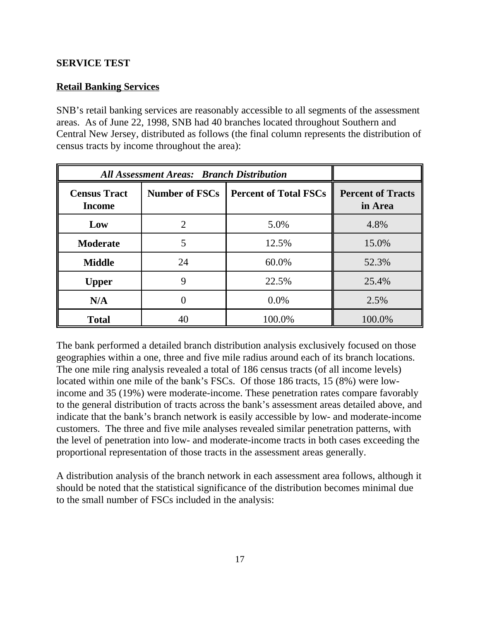#### **SERVICE TEST**

#### **Retail Banking Services**

SNB's retail banking services are reasonably accessible to all segments of the assessment areas. As of June 22, 1998, SNB had 40 branches located throughout Southern and Central New Jersey, distributed as follows (the final column represents the distribution of census tracts by income throughout the area):

| <b>All Assessment Areas: Branch Distribution</b> |                                                       |        |                                     |
|--------------------------------------------------|-------------------------------------------------------|--------|-------------------------------------|
| <b>Census Tract</b><br><b>Income</b>             | <b>Percent of Total FSCs</b><br><b>Number of FSCs</b> |        | <b>Percent of Tracts</b><br>in Area |
| Low                                              | $\mathcal{D}_{\mathcal{L}}$                           | 5.0%   | 4.8%                                |
| <b>Moderate</b>                                  | 5                                                     | 12.5%  | 15.0%                               |
| <b>Middle</b>                                    | 24                                                    | 60.0%  | 52.3%                               |
| <b>Upper</b>                                     | 9                                                     | 22.5%  | 25.4%                               |
| N/A                                              |                                                       | 0.0%   | 2.5%                                |
| <b>Total</b>                                     | 40                                                    | 100.0% | 100.0%                              |

The bank performed a detailed branch distribution analysis exclusively focused on those geographies within a one, three and five mile radius around each of its branch locations. The one mile ring analysis revealed a total of 186 census tracts (of all income levels) located within one mile of the bank's FSCs. Of those 186 tracts, 15 (8%) were lowincome and 35 (19%) were moderate-income. These penetration rates compare favorably to the general distribution of tracts across the bank's assessment areas detailed above, and indicate that the bank's branch network is easily accessible by low- and moderate-income customers. The three and five mile analyses revealed similar penetration patterns, with the level of penetration into low- and moderate-income tracts in both cases exceeding the proportional representation of those tracts in the assessment areas generally.

A distribution analysis of the branch network in each assessment area follows, although it should be noted that the statistical significance of the distribution becomes minimal due to the small number of FSCs included in the analysis: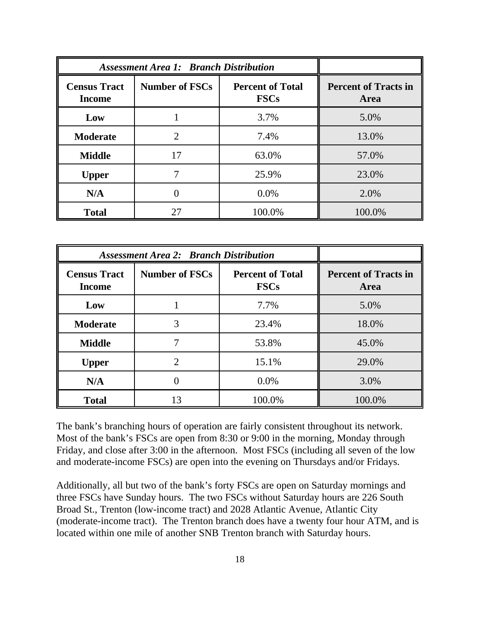| <b>Assessment Area 1: Branch Distribution</b> |                       |                                        |                                     |
|-----------------------------------------------|-----------------------|----------------------------------------|-------------------------------------|
| <b>Census Tract</b><br><b>Income</b>          | <b>Number of FSCs</b> | <b>Percent of Total</b><br><b>FSCs</b> | <b>Percent of Tracts in</b><br>Area |
| Low                                           |                       | 3.7%                                   | 5.0%                                |
| <b>Moderate</b>                               | 2                     | 7.4%                                   | 13.0%                               |
| <b>Middle</b>                                 | 17                    | 63.0%                                  | 57.0%                               |
| <b>Upper</b>                                  |                       | 25.9%                                  | 23.0%                               |
| N/A                                           |                       | 0.0%                                   | 2.0%                                |
| <b>Total</b>                                  | 27                    | 100.0%                                 | 100.0%                              |

| <b>Assessment Area 2: Branch Distribution</b> |                       |                                        |                                     |
|-----------------------------------------------|-----------------------|----------------------------------------|-------------------------------------|
| <b>Census Tract</b><br><b>Income</b>          | <b>Number of FSCs</b> | <b>Percent of Total</b><br><b>FSCs</b> | <b>Percent of Tracts in</b><br>Area |
| Low                                           |                       | 7.7%                                   | 5.0%                                |
| <b>Moderate</b>                               | 3                     | 23.4%                                  | 18.0%                               |
| <b>Middle</b>                                 |                       | 53.8%                                  | 45.0%                               |
| <b>Upper</b>                                  | $\overline{2}$        | 15.1%                                  | 29.0%                               |
| N/A                                           | 0                     | 0.0%                                   | 3.0%                                |
| <b>Total</b>                                  | 13                    | 100.0%                                 | 100.0%                              |

The bank's branching hours of operation are fairly consistent throughout its network. Most of the bank's FSCs are open from 8:30 or 9:00 in the morning, Monday through Friday, and close after 3:00 in the afternoon. Most FSCs (including all seven of the low and moderate-income FSCs) are open into the evening on Thursdays and/or Fridays.

Additionally, all but two of the bank's forty FSCs are open on Saturday mornings and three FSCs have Sunday hours. The two FSCs without Saturday hours are 226 South Broad St., Trenton (low-income tract) and 2028 Atlantic Avenue, Atlantic City (moderate-income tract). The Trenton branch does have a twenty four hour ATM, and is located within one mile of another SNB Trenton branch with Saturday hours.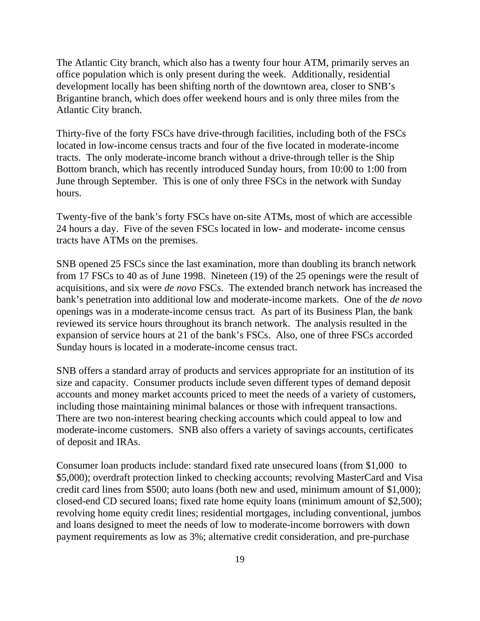The Atlantic City branch, which also has a twenty four hour ATM, primarily serves an office population which is only present during the week. Additionally, residential development locally has been shifting north of the downtown area, closer to SNB's Brigantine branch, which does offer weekend hours and is only three miles from the Atlantic City branch.

Thirty-five of the forty FSCs have drive-through facilities, including both of the FSCs located in low-income census tracts and four of the five located in moderate-income tracts. The only moderate-income branch without a drive-through teller is the Ship Bottom branch, which has recently introduced Sunday hours, from 10:00 to 1:00 from June through September. This is one of only three FSCs in the network with Sunday hours.

Twenty-five of the bank's forty FSCs have on-site ATMs, most of which are accessible 24 hours a day. Five of the seven FSCs located in low- and moderate- income census tracts have ATMs on the premises.

SNB opened 25 FSCs since the last examination, more than doubling its branch network from 17 FSCs to 40 as of June 1998. Nineteen (19) of the 25 openings were the result of acquisitions, and six were *de novo* FSCs. The extended branch network has increased the bank's penetration into additional low and moderate-income markets. One of the *de novo* openings was in a moderate-income census tract. As part of its Business Plan, the bank reviewed its service hours throughout its branch network. The analysis resulted in the expansion of service hours at 21 of the bank's FSCs. Also, one of three FSCs accorded Sunday hours is located in a moderate-income census tract.

SNB offers a standard array of products and services appropriate for an institution of its size and capacity. Consumer products include seven different types of demand deposit accounts and money market accounts priced to meet the needs of a variety of customers, including those maintaining minimal balances or those with infrequent transactions. There are two non-interest bearing checking accounts which could appeal to low and moderate-income customers. SNB also offers a variety of savings accounts, certificates of deposit and IRAs.

Consumer loan products include: standard fixed rate unsecured loans (from \$1,000 to \$5,000); overdraft protection linked to checking accounts; revolving MasterCard and Visa credit card lines from \$500; auto loans (both new and used, minimum amount of \$1,000); closed-end CD secured loans; fixed rate home equity loans (minimum amount of \$2,500); revolving home equity credit lines; residential mortgages, including conventional, jumbos and loans designed to meet the needs of low to moderate-income borrowers with down payment requirements as low as 3%; alternative credit consideration, and pre-purchase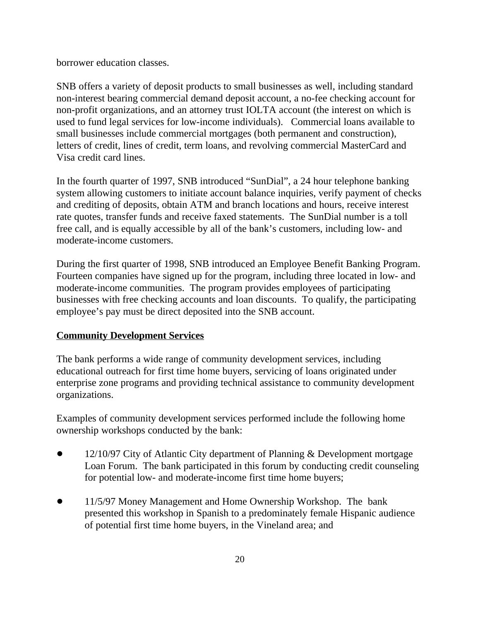borrower education classes.

SNB offers a variety of deposit products to small businesses as well, including standard non-interest bearing commercial demand deposit account, a no-fee checking account for non-profit organizations, and an attorney trust IOLTA account (the interest on which is used to fund legal services for low-income individuals). Commercial loans available to small businesses include commercial mortgages (both permanent and construction), letters of credit, lines of credit, term loans, and revolving commercial MasterCard and Visa credit card lines.

In the fourth quarter of 1997, SNB introduced "SunDial", a 24 hour telephone banking system allowing customers to initiate account balance inquiries, verify payment of checks and crediting of deposits, obtain ATM and branch locations and hours, receive interest rate quotes, transfer funds and receive faxed statements. The SunDial number is a toll free call, and is equally accessible by all of the bank's customers, including low- and moderate-income customers.

During the first quarter of 1998, SNB introduced an Employee Benefit Banking Program. Fourteen companies have signed up for the program, including three located in low- and moderate-income communities. The program provides employees of participating businesses with free checking accounts and loan discounts. To qualify, the participating employee's pay must be direct deposited into the SNB account.

### **Community Development Services**

The bank performs a wide range of community development services, including educational outreach for first time home buyers, servicing of loans originated under enterprise zone programs and providing technical assistance to community development organizations.

Examples of community development services performed include the following home ownership workshops conducted by the bank:

- 12/10/97 City of Atlantic City department of Planning & Development mortgage Loan Forum. The bank participated in this forum by conducting credit counseling for potential low- and moderate-income first time home buyers;
- ! 11/5/97 Money Management and Home Ownership Workshop. The bank presented this workshop in Spanish to a predominately female Hispanic audience of potential first time home buyers, in the Vineland area; and